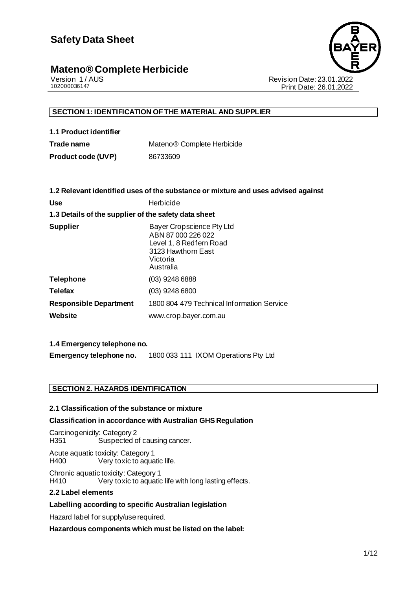

Version 1 / AUS<br>102000036147<br>Print Date: 23.01.2022<br>Print Date: 26.01.2022 Print Date: 26.01.2022

### **SECTION 1: IDENTIFICATION OF THE MATERIAL AND SUPPLIER**

| 1.1 Product identifier |  |
|------------------------|--|
| Trade name             |  |

**Trade name** Mateno® Complete Herbicide **Product code (UVP)** 86733609

|                                                      | 1.2 Relevant identified uses of the substance or mixture and uses advised against                                         |  |  |
|------------------------------------------------------|---------------------------------------------------------------------------------------------------------------------------|--|--|
| <b>Use</b>                                           | Herbicide                                                                                                                 |  |  |
| 1.3 Details of the supplier of the safety data sheet |                                                                                                                           |  |  |
| <b>Supplier</b>                                      | Bayer Cropscience Pty Ltd<br>ABN 87 000 226 022<br>Level 1, 8 Redfern Road<br>3123 Hawthorn East<br>Victoria<br>Australia |  |  |
| <b>Telephone</b>                                     | $(03)$ 9248 6888                                                                                                          |  |  |
| <b>Telefax</b>                                       | $(03)$ 9248 6800                                                                                                          |  |  |
| <b>Responsible Department</b>                        | 1800 804 479 Technical Information Service                                                                                |  |  |
| Website                                              | www.crop.bayer.com.au                                                                                                     |  |  |
|                                                      |                                                                                                                           |  |  |

### **1.4 Emergency telephone no.**

**Emergency telephone no.** 1800 033 111 IXOM Operations Pty Ltd

### **SECTION 2. HAZARDS IDENTIFICATION**

### **2.1 Classification of the substance or mixture**

### **Classification in accordance with Australian GHS Regulation**

Carcinogenicity: Category 2<br>H351 Suspected o Suspected of causing cancer.

Acute aquatic toxicity: Category 1 H400 Very toxic to aquatic life.

Chronic aquatic toxicity: Category 1 H410 Very toxic to aquatic life with long lasting effects.

### **2.2 Label elements**

### **Labelling according to specific Australian legislation**

Hazard label for supply/use required.

### **Hazardous components which must be listed on the label:**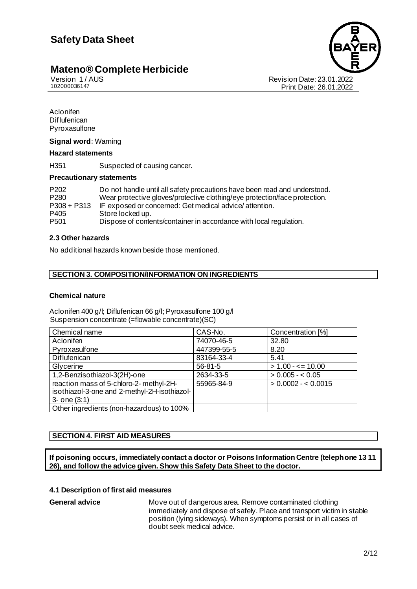Version 1 / AUS Revision Date: 23.01.2022 Print Date: 26.01.2022

• Aclonifen • Diflufenican **Pyroxasulfone** 

### **Signal word:** Warning

#### **Hazard statements**

H351 Suspected of causing cancer.

#### **Precautionary statements**

| P <sub>202</sub> | Do not handle until all safety precautions have been read and understood.  |
|------------------|----------------------------------------------------------------------------|
| P <sub>280</sub> | Wear protective gloves/protective clothing/eye protection/face protection. |
| $P308 + P313$    | IF exposed or concerned: Get medical advice/attention.                     |
| P405             | Store locked up.                                                           |
| P <sub>501</sub> | Dispose of contents/container in accordance with local regulation.         |

### **2.3 Other hazards**

No additional hazards known beside those mentioned.

### **SECTION 3. COMPOSITION/INFORMATION ON INGREDIENTS**

### **Chemical nature**

Aclonifen 400 g/l; Diflufenican 66 g/l; Pyroxasulfone 100 g/l Suspension concentrate (=flowable concentrate)(SC)

| Chemical name                                                                                                | CAS-No.       | Concentration [%]    |
|--------------------------------------------------------------------------------------------------------------|---------------|----------------------|
| Aclonifen                                                                                                    | 74070-46-5    | 32.80                |
| Pyroxasulfone                                                                                                | 447399-55-5   | 8.20                 |
| Diflufenican                                                                                                 | 83164-33-4    | 5.41                 |
| Glycerine                                                                                                    | $56 - 81 - 5$ | $> 1.00 - \le 10.00$ |
| 1,2-Benzisothiazol-3(2H)-one                                                                                 | 2634-33-5     | $> 0.005 - 0.05$     |
| reaction mass of 5-chloro-2- methyl-2H-<br>isothiazol-3-one and 2-methyl-2H-isothiazol-<br>$3 -$ one $(3:1)$ | 55965-84-9    | $> 0.0002 - 0.0015$  |
| Other ingredients (non-hazardous) to 100%                                                                    |               |                      |

### **SECTION 4. FIRST AID MEASURES**

**If poisoning occurs, immediately contact a doctor or Poisons Information Centre (telephone 13 11 26), and follow the advice given. Show this Safety Data Sheet to the doctor.**

### **4.1 Description of first aid measures**

**General advice** Move out of dangerous area. Remove contaminated clothing immediately and dispose of safely. Place and transport victim in stable position (lying sideways). When symptoms persist or in all cases of doubt seek medical advice.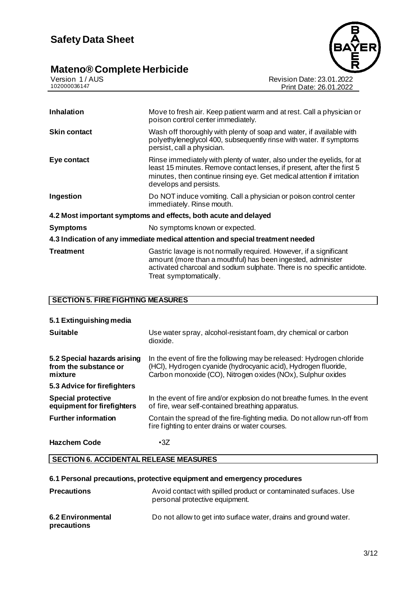### **Mateno® Complete Herbicide 3/12**



| Move to fresh air. Keep patient warm and at rest. Call a physician or<br>poison control center immediately.                                                                                                                                           |
|-------------------------------------------------------------------------------------------------------------------------------------------------------------------------------------------------------------------------------------------------------|
| Wash off thoroughly with plenty of soap and water, if available with<br>polyethyleneglycol 400, subsequently rinse with water. If symptoms<br>persist, call a physician.                                                                              |
| Rinse immediately with plenty of water, also under the eyelids, for at<br>least 15 minutes. Remove contact lenses, if present, after the first 5<br>minutes, then continue rinsing eye. Get medical attention if irritation<br>develops and persists. |
| Do NOT induce vomiting. Call a physician or poison control center<br>immediately. Rinse mouth.                                                                                                                                                        |
| 4.2 Most important symptoms and effects, both acute and delayed                                                                                                                                                                                       |
| No symptoms known or expected.                                                                                                                                                                                                                        |
| 4.3 Indication of any immediate medical attention and special treatment needed                                                                                                                                                                        |
| Gastric lavage is not normally required. However, if a significant<br>amount (more than a mouthful) has been ingested, administer<br>activated charcoal and sodium sulphate. There is no specific antidote.<br>Treat symptomatically.                 |
|                                                                                                                                                                                                                                                       |

Version 1 / AUS Revision Date: 23.01.2022 102000036147 Print Date: 26.01.2022

### **SECTION 5. FIRE FIGHTING MEASURES**

| 5.1 Extinguishing media                                         |                                                                                                                                                                                                        |
|-----------------------------------------------------------------|--------------------------------------------------------------------------------------------------------------------------------------------------------------------------------------------------------|
| <b>Suitable</b>                                                 | Use water spray, alcohol-resistant foam, dry chemical or carbon<br>dioxide.                                                                                                                            |
| 5.2 Special hazards arising<br>from the substance or<br>mixture | In the event of fire the following may be released: Hydrogen chloride<br>(HCI), Hydrogen cyanide (hydrocyanic acid), Hydrogen fluoride,<br>Carbon monoxide (CO), Nitrogen oxides (NOx), Sulphur oxides |
| 5.3 Advice for firefighters                                     |                                                                                                                                                                                                        |
| <b>Special protective</b><br>equipment for firefighters         | In the event of fire and/or explosion do not breathe fumes. In the event<br>of fire, wear self-contained breathing apparatus.                                                                          |
| <b>Further information</b>                                      | Contain the spread of the fire-fighting media. Do not allow run-off from<br>fire fighting to enter drains or water courses.                                                                            |
| <b>Hazchem Code</b>                                             | $\cdot$ 3Z                                                                                                                                                                                             |

### **SECTION 6. ACCIDENTAL RELEASE MEASURES**

### **6.1 Personal precautions, protective equipment and emergency procedures**

| <b>Precautions</b>               | Avoid contact with spilled product or contaminated surfaces. Use<br>personal protective equipment. |
|----------------------------------|----------------------------------------------------------------------------------------------------|
| 6.2 Environmental<br>precautions | Do not allow to get into surface water, drains and ground water.                                   |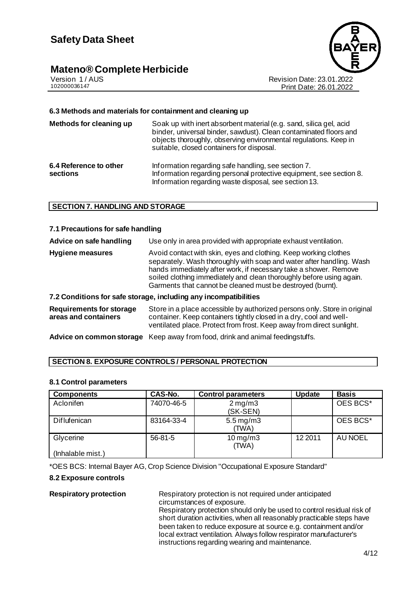

Version 1 / AUS<br>102000036147<br>Print Date: 23.01.2022<br>Print Date: 26.01.2022 Print Date: 26.01.2022

### **6.3 Methods and materials for containment and cleaning up**

| Methods for cleaning up            | Soak up with inert absorbent material (e.g. sand, silica gel, acid<br>binder, universal binder, sawdust). Clean contaminated floors and<br>objects thoroughly, observing environmental regulations. Keep in<br>suitable, closed containers for disposal. |
|------------------------------------|----------------------------------------------------------------------------------------------------------------------------------------------------------------------------------------------------------------------------------------------------------|
| 6.4 Reference to other<br>sections | Information regarding safe handling, see section 7.<br>Information regarding personal protective equipment, see section 8.<br>Information regarding waste disposal, see section 13.                                                                      |

### **SECTION 7. HANDLING AND STORAGE**

#### **7.1 Precautions for safe handling**

| Advice on safe handling | Use only in area provided with appropriate exhaust ventilation.                                                                                                                                                                                                                                                                                    |
|-------------------------|----------------------------------------------------------------------------------------------------------------------------------------------------------------------------------------------------------------------------------------------------------------------------------------------------------------------------------------------------|
| <b>Hygiene measures</b> | Avoid contact with skin, eyes and clothing. Keep working clothes<br>separately. Wash thoroughly with soap and water after handling. Wash<br>hands immediately after work, if necessary take a shower. Remove<br>soiled clothing immediately and clean thoroughly before using again.<br>Garments that cannot be cleaned must be destroyed (burnt). |
|                         | 7.2 Conditions for safe storage, including any incompatibilities                                                                                                                                                                                                                                                                                   |

| Requirements for storage | Store in a place accessible by authorized persons only. Store in original |
|--------------------------|---------------------------------------------------------------------------|
| areas and containers     | container. Keep containers tightly closed in a dry, cool and well-        |
|                          | ventilated place. Protect from frost. Keep away from direct sunlight.     |

**Advice on common storage** Keep away from food, drink and animal feedingstuffs.

### **SECTION 8. EXPOSURE CONTROLS / PERSONAL PROTECTION**

### **8.1 Control parameters**

| <b>Components</b>              | <b>CAS-No.</b> | <b>Control parameters</b>        | <b>Update</b> | <b>Basis</b>   |
|--------------------------------|----------------|----------------------------------|---------------|----------------|
| Aclonifen                      | 74070-46-5     | $2 \,\mathrm{mg/m3}$<br>(SK-SEN) |               | OES BCS*       |
| Diflufenican                   | 83164-33-4     | $5.5 \,\mathrm{mg/m3}$<br>(TWA)  |               | OES BCS*       |
| Glycerine<br>(Inhalable mist.) | $56-81-5$      | $10$ mg/m $3$<br>(TWA)           | 12 2011       | <b>AU NOEL</b> |

\*OES BCS: Internal Bayer AG, Crop Science Division "Occupational Exposure Standard"

### **8.2 Exposure controls**

**Respiratory protection** Respiratory protection is not required under anticipated circumstances of exposure. Respiratory protection should only be used to control residual risk of short duration activities, when all reasonably practicable steps have been taken to reduce exposure at source e.g. containment and/or local extract ventilation. Always follow respirator manufacturer's instructions regarding wearing and maintenance.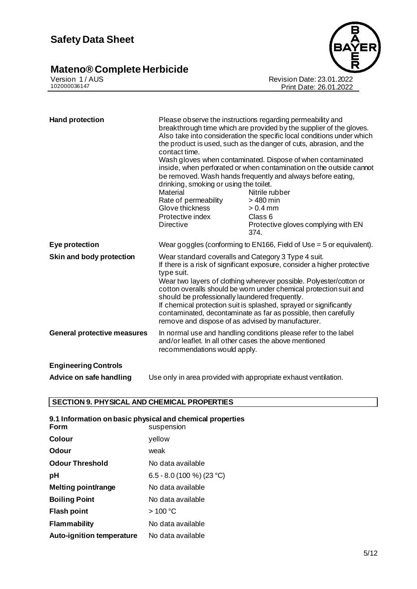### **Mateno® Complete Herbicide 5/12**



Version 1 / AUS Revision Date: 23.01.2022 102000036147 Print Date: 26.01.2022

| <b>Hand protection</b>             | Please observe the instructions regarding permeability and<br>breakthrough time which are provided by the supplier of the gloves.<br>Also take into consideration the specific local conditions under which<br>the product is used, such as the danger of cuts, abrasion, and the<br>contact time.<br>Wash gloves when contaminated. Dispose of when contaminated<br>inside, when perforated or when contamination on the outside cannot<br>be removed. Wash hands frequently and always before eating,<br>drinking, smoking or using the toilet.<br>Nitrile rubber<br>Material<br>Rate of permeability<br>> 480 min<br>Glove thickness<br>$> 0.4$ mm<br>Protective index<br>Class 6<br><b>Directive</b><br>Protective gloves complying with EN<br>374. |                                                                 |
|------------------------------------|---------------------------------------------------------------------------------------------------------------------------------------------------------------------------------------------------------------------------------------------------------------------------------------------------------------------------------------------------------------------------------------------------------------------------------------------------------------------------------------------------------------------------------------------------------------------------------------------------------------------------------------------------------------------------------------------------------------------------------------------------------|-----------------------------------------------------------------|
| Eye protection                     | Wear goggles (conforming to EN166, Field of Use $=$ 5 or equivalent).                                                                                                                                                                                                                                                                                                                                                                                                                                                                                                                                                                                                                                                                                   |                                                                 |
| Skin and body protection           | Wear standard coveralls and Category 3 Type 4 suit.<br>If there is a risk of significant exposure, consider a higher protective<br>type suit.<br>Wear two layers of clothing wherever possible. Polyester/cotton or<br>cotton overalls should be worn under chemical protection suit and<br>should be professionally laundered frequently.<br>If chemical protection suit is splashed, sprayed or significantly<br>contaminated, decontaminate as far as possible, then carefully<br>remove and dispose of as advised by manufacturer.                                                                                                                                                                                                                  |                                                                 |
| <b>General protective measures</b> | In normal use and handling conditions please refer to the label<br>and/or leaflet. In all other cases the above mentioned<br>recommendations would apply.                                                                                                                                                                                                                                                                                                                                                                                                                                                                                                                                                                                               |                                                                 |
| <b>Engineering Controls</b>        |                                                                                                                                                                                                                                                                                                                                                                                                                                                                                                                                                                                                                                                                                                                                                         |                                                                 |
| Advice on safe handling            |                                                                                                                                                                                                                                                                                                                                                                                                                                                                                                                                                                                                                                                                                                                                                         | Use only in area provided with appropriate exhaust ventilation. |

### **SECTION 9. PHYSICAL AND CHEMICAL PROPERTIES**

| Form                             | 9.1 Information on basic physical and chemical properties<br>suspension |
|----------------------------------|-------------------------------------------------------------------------|
| Colour                           | yellow                                                                  |
| Odour                            | weak                                                                    |
| <b>Odour Threshold</b>           | No data available                                                       |
| рH                               | 6.5 - 8.0 (100 %) (23 °C)                                               |
| Melting point/range              | No data available                                                       |
| <b>Boiling Point</b>             | No data available                                                       |
| <b>Flash point</b>               | >100 °C                                                                 |
| <b>Flammability</b>              | No data available                                                       |
| <b>Auto-ignition temperature</b> | No data available                                                       |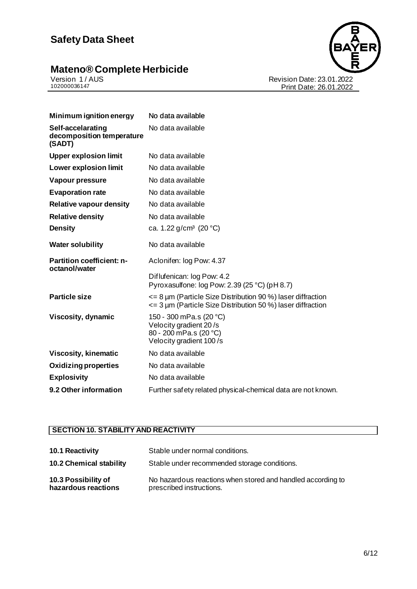## **Safety Data Sheet**

### **Mateno® Complete Herbicide** *6/22*





Version 1 / AUS Revision Date: 23.01.2022 102000036147 Print Date: 26.01.2022

| Minimum ignition energy                                  | No data available                                                                                                                        |
|----------------------------------------------------------|------------------------------------------------------------------------------------------------------------------------------------------|
| Self-accelarating<br>decomposition temperature<br>(SADT) | No data available                                                                                                                        |
| <b>Upper explosion limit</b>                             | No data available                                                                                                                        |
| <b>Lower explosion limit</b>                             | No data available                                                                                                                        |
| Vapour pressure                                          | No data available                                                                                                                        |
| <b>Evaporation rate</b>                                  | No data available                                                                                                                        |
| <b>Relative vapour density</b>                           | No data available                                                                                                                        |
| <b>Relative density</b>                                  | No data available                                                                                                                        |
| <b>Density</b>                                           | ca. 1.22 $g/cm^3$ (20 °C)                                                                                                                |
| <b>Water solubility</b>                                  | No data available                                                                                                                        |
| <b>Partition coefficient: n-</b><br>octanol/water        | Aclonifen: log Pow: 4.37                                                                                                                 |
|                                                          | Diflufenican: log Pow: 4.2<br>Pyroxasulfone: log Pow: 2.39 (25 °C) (pH 8.7)                                                              |
| <b>Particle size</b>                                     | $\leq$ 8 µm (Particle Size Distribution 90 %) laser diffraction<br>$\epsilon$ = 3 µm (Particle Size Distribution 50 %) laser diffraction |
| <b>Viscosity, dynamic</b>                                | 150 - 300 mPa.s (20 °C)<br>Velocity gradient 20/s<br>80 - 200 mPa.s (20 °C)<br>Velocity gradient 100/s                                   |
| <b>Viscosity, kinematic</b>                              | No data available                                                                                                                        |
| <b>Oxidizing properties</b>                              | No data available                                                                                                                        |
| <b>Explosivity</b>                                       | No data available                                                                                                                        |
| 9.2 Other information                                    | Further safety related physical-chemical data are not known.                                                                             |

### **SECTION 10. STABILITY AND REACTIVITY**

| 10.1 Reactivity                            | Stable under normal conditions.                                                         |
|--------------------------------------------|-----------------------------------------------------------------------------------------|
| <b>10.2 Chemical stability</b>             | Stable under recommended storage conditions.                                            |
| 10.3 Possibility of<br>hazardous reactions | No hazardous reactions when stored and handled according to<br>prescribed instructions. |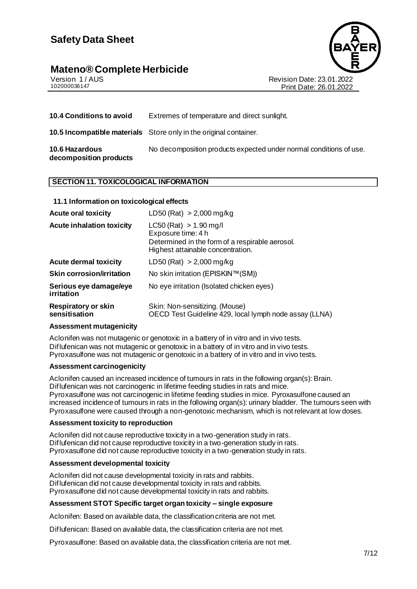## **Safety Data Sheet**

# **Mateno® Complete Herbicide**<br>Version 1/AUS



Version 1 / AUS<br>102000036147<br>Print Date: 23.01.2022 Print Date: 26.01.2022

| <b>10.4 Conditions to avoid</b>          | Extremes of temperature and direct sunlight.                             |
|------------------------------------------|--------------------------------------------------------------------------|
|                                          | <b>10.5 Incompatible materials</b> Store only in the original container. |
| 10.6 Hazardous<br>decomposition products | No decomposition products expected under normal conditions of use.       |

### **SECTION 11. TOXICOLOGICAL INFORMATION**

### **11.1 Information on toxicological effects**

| <b>Acute oral toxicity</b>                  | LD50 (Rat) $> 2,000$ mg/kg                                                                                                               |
|---------------------------------------------|------------------------------------------------------------------------------------------------------------------------------------------|
| <b>Acute inhalation toxicity</b>            | $LC50$ (Rat) $> 1.90$ mg/l<br>Exposure time: 4 h<br>Determined in the form of a respirable aerosol.<br>Highest attainable concentration. |
| <b>Acute dermal toxicity</b>                | LD50 (Rat) > 2,000 mg/kg                                                                                                                 |
| <b>Skin corrosion/irritation</b>            | No skin irritation (EPISKIN™(SM))                                                                                                        |
| Serious eye damage/eye<br>irritation        | No eye irritation (Isolated chicken eyes)                                                                                                |
| <b>Respiratory or skin</b><br>sensitisation | Skin: Non-sensitizing. (Mouse)<br>OECD Test Guideline 429, local lymph node assay (LLNA)                                                 |

### **Assessment mutagenicity**

Aclonifen was not mutagenic or genotoxic in a battery of in vitro and in vivo tests. Diflufenican was not mutagenic or genotoxic in a battery of in vitro and in vivo tests. Pyroxasulfone was not mutagenic or genotoxic in a battery of in vitro and in vivo tests.

### **Assessment carcinogenicity**

Aclonifen caused an increased incidence of tumours in rats in the following organ(s): Brain. Diflufenican was not carcinogenic in lifetime feeding studies in rats and mice. Pyroxasulfone was not carcinogenic in lifetime feeding studies in mice. Pyroxasulfone caused an increased incidence of tumours in rats in the following organ(s): urinary bladder. The tumours seen with Pyroxasulfone were caused through a non-genotoxic mechanism, which is not relevant at low doses.

#### **Assessment toxicity to reproduction**

Aclonifen did not cause reproductive toxicity in a two-generation study in rats. Diflufenican did not cause reproductive toxicity in a two-generation study in rats. Pyroxasulfone did not cause reproductive toxicity in a two-generation study in rats.

### **Assessment developmental toxicity**

Aclonifen did not cause developmental toxicity in rats and rabbits. Diflufenican did not cause developmental toxicity in rats and rabbits. Pyroxasulfone did not cause developmental toxicity in rats and rabbits.

### **Assessment STOT Specific target organ toxicity – single exposure**

Aclonifen: Based on available data, the classification criteria are not met.

Diflufenican: Based on available data, the classification criteria are not met.

Pyroxasulfone: Based on available data, the classification criteria are not met.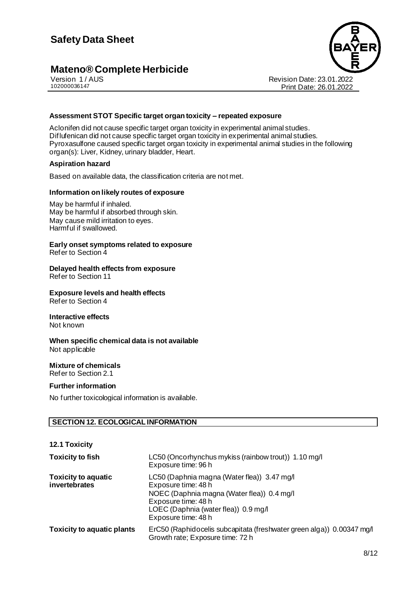

Version 1 / AUS Revision Date: 23.01.2022 Print Date: 26.01.2022

### **Assessment STOT Specific target organ toxicity – repeated exposure**

Aclonifen did not cause specific target organ toxicity in experimental animal studies. Diflufenican did not cause specific target organ toxicity in experimental animal studies. Pyroxasulfone caused specific target organ toxicity in experimental animal studies in the following organ(s): Liver, Kidney, urinary bladder, Heart.

#### **Aspiration hazard**

Based on available data, the classification criteria are not met.

#### **Information on likely routes of exposure**

May be harmful if inhaled. May be harmful if absorbed through skin. May cause mild irritation to eyes. Harmful if swallowed.

### **Early onset symptoms related to exposure**

Refer to Section 4

### **Delayed health effects from exposure**

Refer to Section 11

### **Exposure levels and health effects**

Refer to Section 4

### **Interactive effects**

Not known

#### **When specific chemical data is not available** Not applicable

### **Mixture of chemicals**

Refer to Section 2.1

### **Further information**

**12.1 Toxicity**

No further toxicological information is available.

### **SECTION 12. ECOLOGICAL INFORMATION**

| <b>TZ.T TOXICITY</b>                        |                                                                                                                                                                                                        |
|---------------------------------------------|--------------------------------------------------------------------------------------------------------------------------------------------------------------------------------------------------------|
| <b>Toxicity to fish</b>                     | LC50 (Oncorhynchus mykiss (rainbow trout)) 1.10 mg/l<br>Exposure time: 96 h                                                                                                                            |
| <b>Toxicity to aquatic</b><br>invertebrates | LC50 (Daphnia magna (Water flea)) 3.47 mg/l<br>Exposure time: 48 h<br>NOEC (Daphnia magna (Water flea)) 0.4 mg/l<br>Exposure time: 48 h<br>LOEC (Daphnia (water flea)) 0.9 mg/l<br>Exposure time: 48 h |
| <b>Toxicity to aquatic plants</b>           | ErC50 (Raphidocelis subcapitata (freshwater green alga)) 0.00347 mg/l<br>Growth rate; Exposure time: 72 h                                                                                              |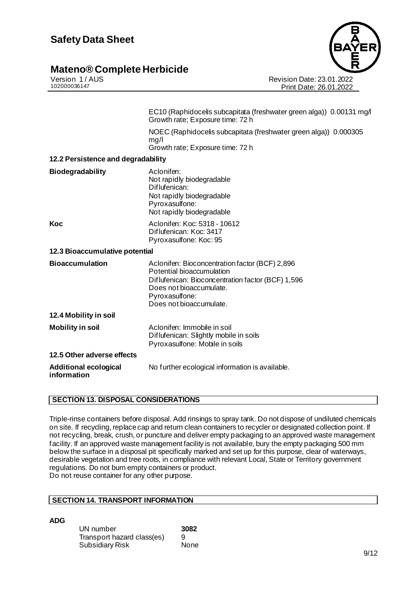

Version 1 / AUS Revision Date: 23.01.2022 Print Date: 26.01.2022

| NOEC (Raphidocelis subcapitata (freshwater green alga)) 0.000305 |
|------------------------------------------------------------------|
|                                                                  |
|                                                                  |
|                                                                  |
|                                                                  |
|                                                                  |
|                                                                  |
|                                                                  |
|                                                                  |
|                                                                  |
|                                                                  |

### **SECTION 13. DISPOSAL CONSIDERATIONS**

Triple-rinse containers before disposal. Add rinsings to spray tank. Do not dispose of undiluted chemicals on site. If recycling, replace cap and return clean containers to recycler or designated collection point. If not recycling, break, crush, or puncture and deliver empty packaging to an approved waste management facility. If an approved waste management facility is not available, bury the empty packaging 500 mm below the surface in a disposal pit specifically marked and set up for this purpose, clear of waterways, desirable vegetation and tree roots, in compliance with relevant Local, State or Territory government regulations. Do not burn empty containers or product. Do not reuse container for any other purpose.

### **SECTION 14. TRANSPORT INFORMATION**

**ADG**

| UN number                  | 3082 |
|----------------------------|------|
| Transport hazard class(es) | 9    |
| <b>Subsidiary Risk</b>     | None |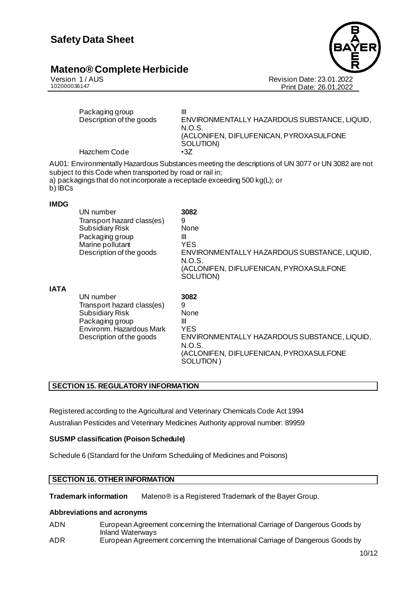

Version 1 / AUS<br>102000036147<br>Print Date: 23.01.2022<br>Print Date: 26.01.2022 Print Date: 26.01.2022

|             | Packaging group<br>Description of the goods<br>Hazchem Code                                                                                  | Ш<br>ENVIRONMENTALLY HAZARDOUS SUBSTANCE, LIQUID,<br>N.O.S.<br>(ACLONIFEN, DIFLUFENICAN, PYROXASULFONE<br>SOLUTION)<br>$\cdot$ 3Z                                               |
|-------------|----------------------------------------------------------------------------------------------------------------------------------------------|---------------------------------------------------------------------------------------------------------------------------------------------------------------------------------|
| b) IBCs     | subject to this Code when transported by road or rail in;                                                                                    | AU01: Environmentally Hazardous Substances meeting the descriptions of UN 3077 or UN 3082 are not<br>a) packagings that do not incorporate a receptacle exceeding 500 kg(L); or |
| <b>IMDG</b> | UN number<br>Transport hazard class(es)<br><b>Subsidiary Risk</b><br>Packaging group<br>Marine pollutant<br>Description of the goods         | 3082<br>9<br><b>None</b><br>$\mathbf{III}$<br><b>YES</b><br>ENVIRONMENTALLY HAZARDOUS SUBSTANCE, LIQUID,<br>N.O.S.<br>(ACLONIFEN, DIFLUFENICAN, PYROXASULFONE<br>SOLUTION)      |
| <b>IATA</b> | UN number<br>Transport hazard class(es)<br><b>Subsidiary Risk</b><br>Packaging group<br>Environm, Hazardous Mark<br>Description of the goods | 3082<br>9<br>None<br>Ш<br><b>YES</b><br>ENVIRONMENTALLY HAZARDOUS SUBSTANCE, LIQUID,<br>N.O.S.<br>(ACLONIFEN, DIFLUFENICAN, PYROXASULFONE<br>SOLUTION)                          |

### **SECTION 15. REGULATORY INFORMATION**

Registered according to the Agricultural and Veterinary Chemicals Code Act 1994 Australian Pesticides and Veterinary Medicines Authority approval number: 89959

### **SUSMP classification (Poison Schedule)**

Schedule 6 (Standard for the Uniform Scheduling of Medicines and Poisons)

### **SECTION 16. OTHER INFORMATION**

**Trademark information** Mateno® is a Registered Trademark of the Bayer Group.

### **Abbreviations and acronyms**

- ADN European Agreement concerning the International Carriage of Dangerous Goods by Inland Waterways
- ADR European Agreement concerning the International Carriage of Dangerous Goods by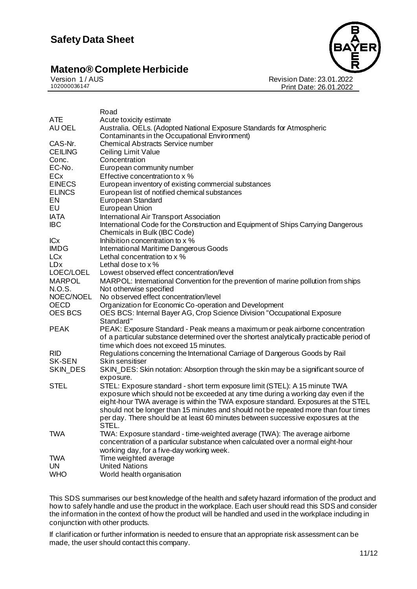

Revision Date: 23.01.2022 Print Date: 26.01.2022

|                        | Road                                                                                                                                                                                                                 |
|------------------------|----------------------------------------------------------------------------------------------------------------------------------------------------------------------------------------------------------------------|
| ATE                    | Acute toxicity estimate                                                                                                                                                                                              |
| AU OEL                 | Australia. OELs. (Adopted National Exposure Standards for Atmospheric<br>Contaminants in the Occupational Environment)                                                                                               |
| CAS-Nr.                | <b>Chemical Abstracts Service number</b>                                                                                                                                                                             |
| <b>CEILING</b>         | Ceiling Limit Value                                                                                                                                                                                                  |
| Conc.                  | Concentration                                                                                                                                                                                                        |
| EC-No.                 | European community number                                                                                                                                                                                            |
| ECx                    | Effective concentration to x %                                                                                                                                                                                       |
| <b>EINECS</b>          | European inventory of existing commercial substances                                                                                                                                                                 |
| <b>ELINCS</b>          | European list of notified chemical substances                                                                                                                                                                        |
| EN                     | European Standard                                                                                                                                                                                                    |
| EU                     | European Union                                                                                                                                                                                                       |
| <b>IATA</b>            | International Air Transport Association                                                                                                                                                                              |
| IBC                    | International Code for the Construction and Equipment of Ships Carrying Dangerous                                                                                                                                    |
|                        | Chemicals in Bulk (IBC Code)                                                                                                                                                                                         |
| <b>ICx</b>             | Inhibition concentration to x %                                                                                                                                                                                      |
| <b>IMDG</b>            | <b>International Maritime Dangerous Goods</b>                                                                                                                                                                        |
| <b>LCx</b>             | Lethal concentration to x %                                                                                                                                                                                          |
| <b>LD</b> <sub>x</sub> | Lethal dose to $x$ %                                                                                                                                                                                                 |
| LOEC/LOEL              | Lowest observed effect concentration/level                                                                                                                                                                           |
| <b>MARPOL</b>          | MARPOL: International Convention for the prevention of marine pollution from ships                                                                                                                                   |
| N.O.S.                 | Not otherwise specified                                                                                                                                                                                              |
| NOEC/NOEL              | No observed effect concentration/level                                                                                                                                                                               |
| <b>OECD</b>            | Organization for Economic Co-operation and Development                                                                                                                                                               |
| <b>OES BCS</b>         | OES BCS: Internal Bayer AG, Crop Science Division "Occupational Exposure<br>Standard"                                                                                                                                |
| <b>PEAK</b>            | PEAK: Exposure Standard - Peak means a maximum or peak airborne concentration<br>of a particular substance determined over the shortest analytically practicable period of<br>time which does not exceed 15 minutes. |
| <b>RID</b>             | Regulations concerning the International Carriage of Dangerous Goods by Rail                                                                                                                                         |
| <b>SK-SEN</b>          | Skin sensitiser                                                                                                                                                                                                      |
| SKIN_DES               | SKIN_DES: Skin notation: Absorption through the skin may be a significant source of                                                                                                                                  |
|                        | exposure.                                                                                                                                                                                                            |
| <b>STEL</b>            | STEL: Exposure standard - short term exposure limit (STEL): A 15 minute TWA                                                                                                                                          |
|                        | exposure which should not be exceeded at any time during a working day even if the                                                                                                                                   |
|                        | eight-hour TWA average is within the TWA exposure standard. Exposures at the STEL                                                                                                                                    |
|                        | should not be longer than 15 minutes and should not be repeated more than four times                                                                                                                                 |
|                        | per day. There should be at least 60 minutes between successive exposures at the                                                                                                                                     |
|                        | STEL.                                                                                                                                                                                                                |
| TWA                    | TWA: Exposure standard - time-weighted average (TWA): The average airborne                                                                                                                                           |
|                        | concentration of a particular substance when calculated over a normal eight-hour                                                                                                                                     |
|                        | working day, for a five-day working week.                                                                                                                                                                            |
| TWA                    | Time weighted average                                                                                                                                                                                                |
| UN                     | <b>United Nations</b>                                                                                                                                                                                                |
| <b>WHO</b>             | World health organisation                                                                                                                                                                                            |
|                        |                                                                                                                                                                                                                      |

This SDS summarises our best knowledge of the health and safety hazard information of the product and how to safely handle and use the product in the workplace. Each user should read this SDS and consider the information in the context of how the product will be handled and used in the workplace including in conjunction with other products.

If clarification or further information is needed to ensure that an appropriate risk assessment can be made, the user should contact this company.